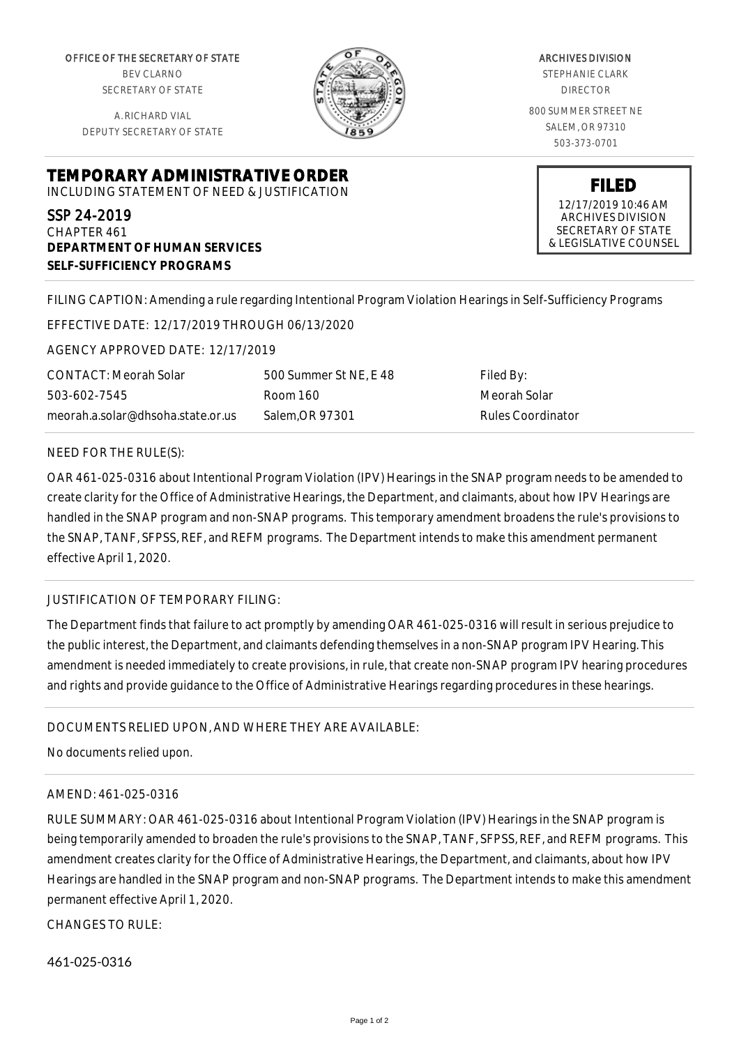OFFICE OF THE SECRETARY OF STATE BEV CLARNO SECRETARY OF STATE

A. RICHARD VIAL DEPUTY SECRETARY OF STATE

**DEPARTMENT OF HUMAN SERVICES**

**SELF-SUFFICIENCY PROGRAMS**



ARCHIVES DIVISION STEPHANIE CLARK DIRECTOR 800 SUMMER STREET NE SALEM, OR 97310 503-373-0701

> **FILED** 12/17/2019 10:46 AM ARCHIVES DIVISION SECRETARY OF STATE & LEGISLATIVE COUNSEL

FILING CAPTION: Amending a rule regarding Intentional Program Violation Hearings in Self-Sufficiency Programs

EFFECTIVE DATE: 12/17/2019 THROUGH 06/13/2020

**TEMPORARY ADMINISTRATIVE ORDER** INCLUDING STATEMENT OF NEED & JUSTIFICATION

AGENCY APPROVED DATE: 12/17/2019

CONTACT: Meorah Solar 503-602-7545 meorah.a.solar@dhsoha.state.or.us 500 Summer St NE, E 48 Room 160 Salem,OR 97301

Filed By: Meorah Solar Rules Coordinator

## NEED FOR THE RULE(S):

SSP 24-2019 CHAPTER 461

OAR 461-025-0316 about Intentional Program Violation (IPV) Hearings in the SNAP program needs to be amended to create clarity for the Office of Administrative Hearings, the Department, and claimants, about how IPV Hearings are handled in the SNAP program and non-SNAP programs. This temporary amendment broadens the rule's provisions to the SNAP, TANF, SFPSS, REF, and REFM programs. The Department intends to make this amendment permanent effective April 1, 2020.

### JUSTIFICATION OF TEMPORARY FILING:

The Department finds that failure to act promptly by amending OAR 461-025-0316 will result in serious prejudice to the public interest, the Department, and claimants defending themselves in a non-SNAP program IPV Hearing. This amendment is needed immediately to create provisions, in rule, that create non-SNAP program IPV hearing procedures and rights and provide guidance to the Office of Administrative Hearings regarding procedures in these hearings.

## DOCUMENTS RELIED UPON, AND WHERE THEY ARE AVAILABLE:

No documents relied upon.

### AMEND: 461-025-0316

RULE SUMMARY: OAR 461-025-0316 about Intentional Program Violation (IPV) Hearings in the SNAP program is being temporarily amended to broaden the rule's provisions to the SNAP, TANF, SFPSS, REF, and REFM programs. This amendment creates clarity for the Office of Administrative Hearings, the Department, and claimants, about how IPV Hearings are handled in the SNAP program and non-SNAP programs. The Department intends to make this amendment permanent effective April 1, 2020.

CHANGES TO RULE:

461-025-0316